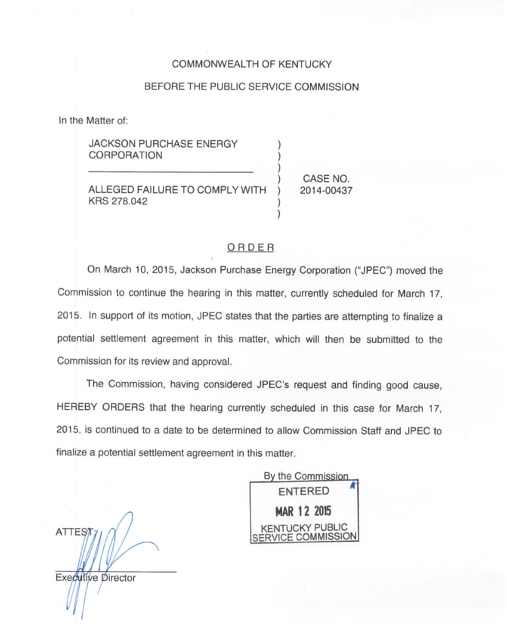## COMMONWEALTH OF KENTUCKY

## BEFORE THE PUBLIC SERVICE COMMISSION

) )

)

In the Matter of:

**JACKSON PURCHASE ENERGY CORPORATION** 

ALLEGED FAILURE TO COMPLY WITH KRS 278,042

CASE NO. 2014-00437

## ORDER

On March 10, 2015, Jackson Purchase Energy Corporation ("JPEC") moved the Commission to continue the hearing in this matter, currently scheduled for March 17, 2015. In support of its motion, JPEC states that the parties are attempting to finalize a potential settlement agreement in this matter, which will then be submitted to the Commission for its review and approval.

The Commission, having considered JPEC's request and finding good cause, HEREBY ORDERS that the hearing currently scheduled in this case for March 17, 2015, is continued to a date to be determined to allow Commission Staff and JPEC to finalize a potential settlement agreement in this matter.

**ATTEST** Executive Director

By the Commission. ENTERED MAR 12 2015 KENTUCKY PUBLIC VICE COMMISSION